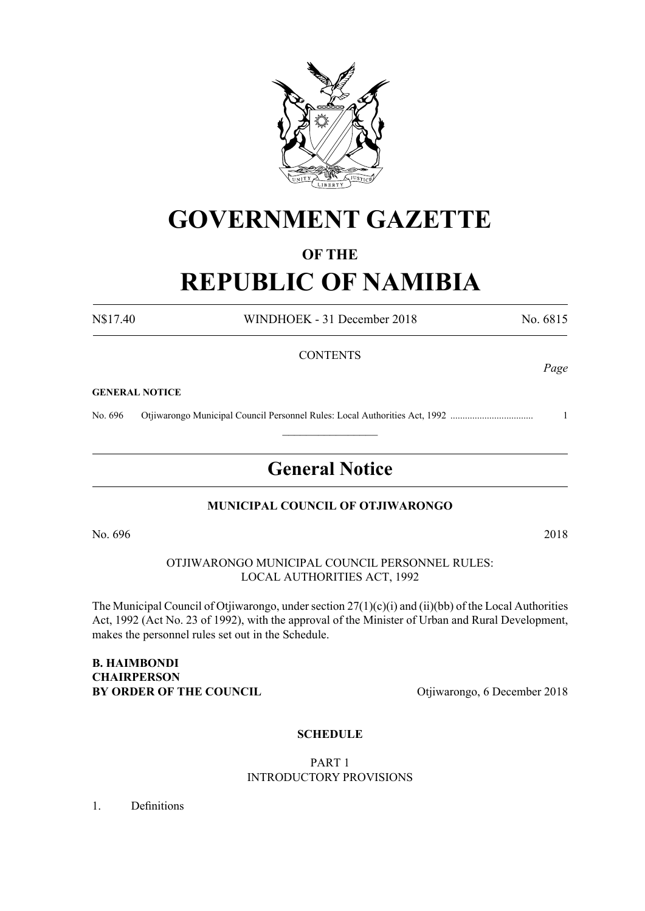

# **GOVERNMENT GAZETTE**

# **OF THE**

# **REPUBLIC OF NAMIBIA**

N\$17.40 WINDHOEK - 31 December 2018 No. 6815 **CONTENTS** 

#### **GENERAL NOTICE**

No. 696 Otjiwarongo Municipal Council Personnel Rules: Local Authorities Act, 1992 .................................. 1

# **General Notice**

 $\frac{1}{2}$ 

# **MUNICIPAL COUNCIL OF OTJIWARONGO**

No. 696 2018

OTJIWARONGO MUNICIPAL COUNCIL PERSONNEL RULES: LOCAL AUTHORITIES ACT, 1992

The Municipal Council of Otjiwarongo, under section 27(1)(c)(i) and (ii)(bb) of the Local Authorities Act, 1992 (Act No. 23 of 1992), with the approval of the Minister of Urban and Rural Development, makes the personnel rules set out in the Schedule.

**B. HAIMBONDI CHAIRPERSON BY ORDER OF THE COUNCIL Otijiwarongo**, 6 December 2018

# **SCHEDULE**

# PART 1 INTRODUCTORY PROVISIONS

1. Definitions

*Page*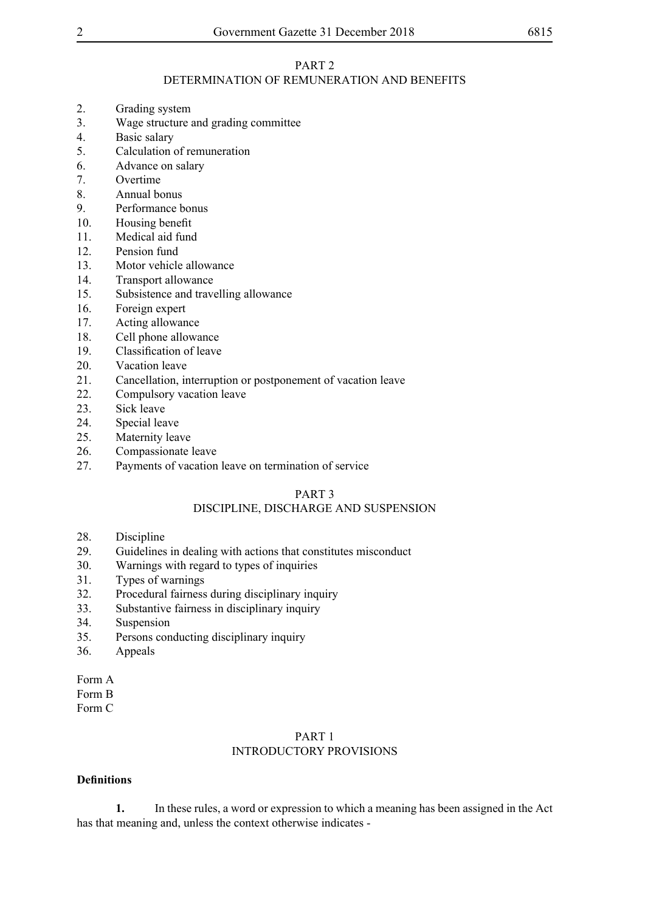# PART 2

# DETERMINATION OF REMUNERATION AND BENEFITS

- 2. Grading system
- 3. Wage structure and grading committee
- 4. Basic salary<br>5 Calculation of
- 5. Calculation of remuneration
- 6. Advance on salary
- 7. Overtime
- 8. Annual bonus
- 9. Performance bonus
- 10. Housing benefit
- 11. Medical aid fund
- 12. Pension fund
- 13. Motor vehicle allowance
- 14. Transport allowance
- 15. Subsistence and travelling allowance
- 16. Foreign expert
- 17. Acting allowance
- 18. Cell phone allowance
- 19. Classification of leave
- 20. Vacation leave
- 21. Cancellation, interruption or postponement of vacation leave
- 22. Compulsory vacation leave
- 23. Sick leave
- 24. Special leave
- 25. Maternity leave
- 26. Compassionate leave
- 27. Payments of vacation leave on termination of service

# PART 3

# DISCIPLINE, DISCHARGE AND SUSPENSION

- 28. Discipline<br>29. Guidelines
- Guidelines in dealing with actions that constitutes misconduct
- 30. Warnings with regard to types of inquiries
- 31. Types of warnings
- 32. Procedural fairness during disciplinary inquiry
- 33. Substantive fairness in disciplinary inquiry
- 34. Suspension
- 35. Persons conducting disciplinary inquiry
- 36. Appeals
- Form A
- Form B
- Form C

# PART 1 INTRODUCTORY PROVISIONS

# **Definitions**

**1.** In these rules, a word or expression to which a meaning has been assigned in the Act has that meaning and, unless the context otherwise indicates -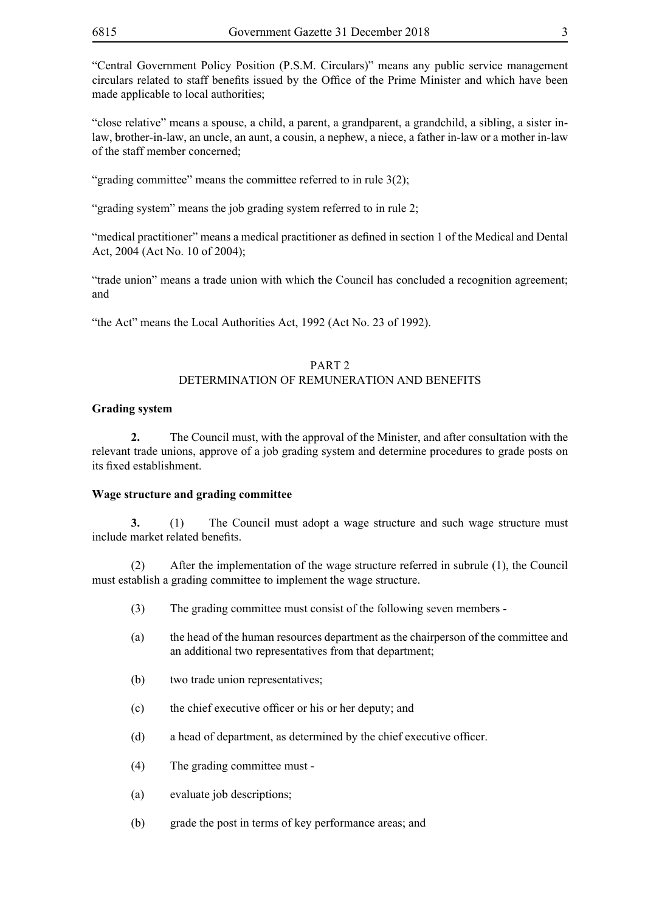"Central Government Policy Position (P.S.M. Circulars)" means any public service management circulars related to staff benefits issued by the Office of the Prime Minister and which have been made applicable to local authorities;

"close relative" means a spouse, a child, a parent, a grandparent, a grandchild, a sibling, a sister inlaw, brother-in-law, an uncle, an aunt, a cousin, a nephew, a niece, a father in-law or a mother in-law of the staff member concerned;

"grading committee" means the committee referred to in rule 3(2);

"grading system" means the job grading system referred to in rule 2;

"medical practitioner" means a medical practitioner as defined in section 1 of the Medical and Dental Act, 2004 (Act No. 10 of 2004);

"trade union" means a trade union with which the Council has concluded a recognition agreement; and

"the Act" means the Local Authorities Act, 1992 (Act No. 23 of 1992).

# PART 2 DETERMINATION OF REMUNERATION AND BENEFITS

# **Grading system**

**2.** The Council must, with the approval of the Minister, and after consultation with the relevant trade unions, approve of a job grading system and determine procedures to grade posts on its fixed establishment.

## **Wage structure and grading committee**

**3.** (1) The Council must adopt a wage structure and such wage structure must include market related benefits.

(2) After the implementation of the wage structure referred in subrule (1), the Council must establish a grading committee to implement the wage structure.

- (3) The grading committee must consist of the following seven members -
- (a) the head of the human resources department as the chairperson of the committee and an additional two representatives from that department;
- (b) two trade union representatives;
- (c) the chief executive officer or his or her deputy; and
- (d) a head of department, as determined by the chief executive officer.
- (4) The grading committee must -
- (a) evaluate job descriptions;
- (b) grade the post in terms of key performance areas; and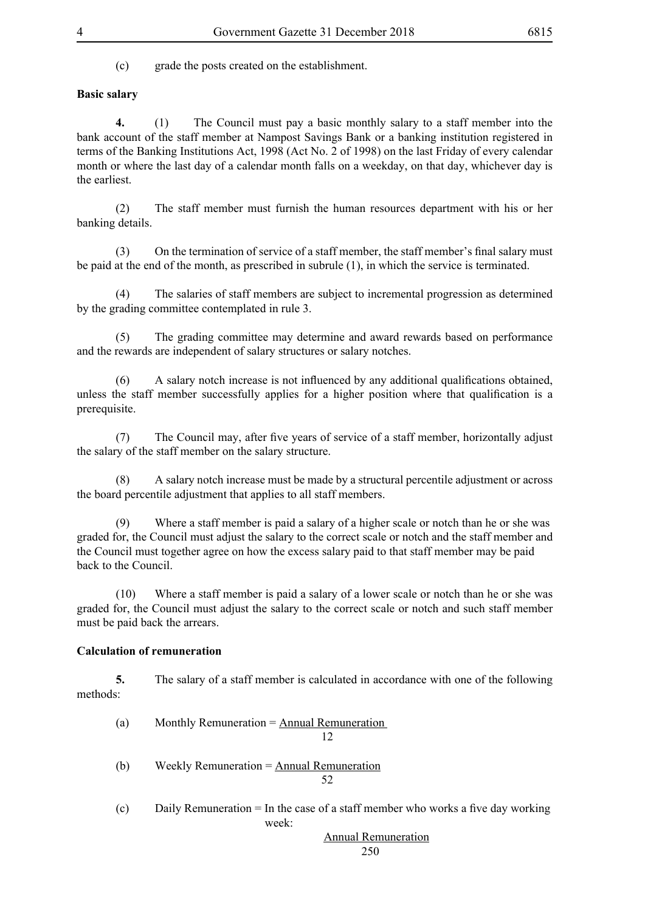(c) grade the posts created on the establishment.

# **Basic salary**

**4.** (1) The Council must pay a basic monthly salary to a staff member into the bank account of the staff member at Nampost Savings Bank or a banking institution registered in terms of the Banking Institutions Act, 1998 (Act No. 2 of 1998) on the last Friday of every calendar month or where the last day of a calendar month falls on a weekday, on that day, whichever day is the earliest.

(2) The staff member must furnish the human resources department with his or her banking details.

 (3) On the termination of service of a staff member, the staff member's final salary must be paid at the end of the month, as prescribed in subrule (1), in which the service is terminated.

(4) The salaries of staff members are subject to incremental progression as determined by the grading committee contemplated in rule 3.

(5) The grading committee may determine and award rewards based on performance and the rewards are independent of salary structures or salary notches.

 (6) A salary notch increase is not influenced by any additional qualifications obtained, unless the staff member successfully applies for a higher position where that qualification is a prerequisite.

 (7) The Council may, after five years of service of a staff member, horizontally adjust the salary of the staff member on the salary structure.

(8) A salary notch increase must be made by a structural percentile adjustment or across the board percentile adjustment that applies to all staff members.

(9) Where a staff member is paid a salary of a higher scale or notch than he or she was graded for, the Council must adjust the salary to the correct scale or notch and the staff member and the Council must together agree on how the excess salary paid to that staff member may be paid back to the Council.

(10) Where a staff member is paid a salary of a lower scale or notch than he or she was graded for, the Council must adjust the salary to the correct scale or notch and such staff member must be paid back the arrears.

# **Calculation of remuneration**

**5.** The salary of a staff member is calculated in accordance with one of the following methods:

(a) Monthly Remuneration  $=$  <u>Annual Remuneration</u> 12 (b) Weekly Remuneration  $=$  Annual Remuneration

52

(c) Daily Remuneration  $=$  In the case of a staff member who works a five day working week:

 Annual Remuneration 250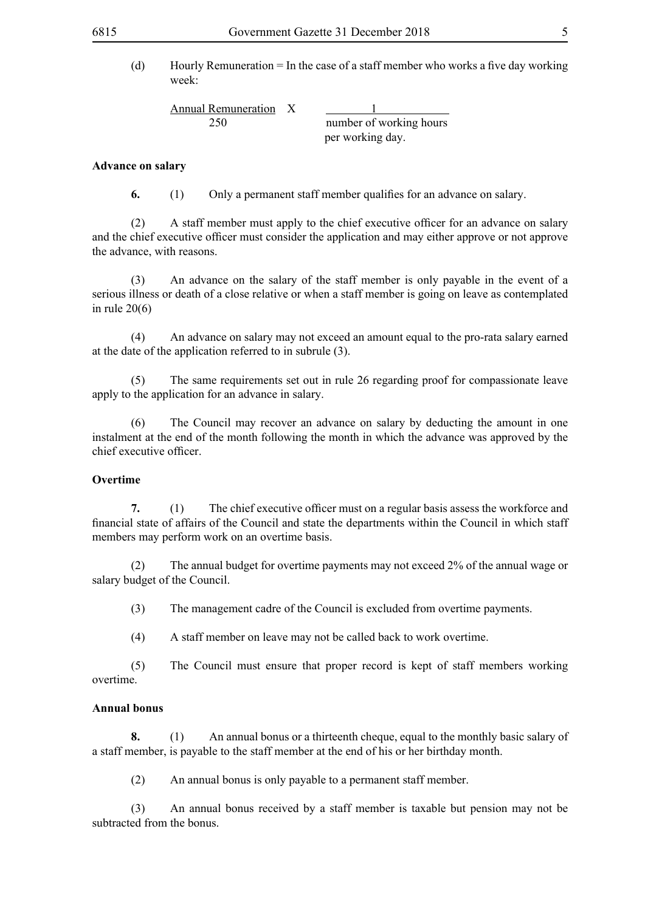(d) Hourly Remuneration  $=$  In the case of a staff member who works a five day working week:

Annual Remuneration X 1 250 number of working hours

per working day.

#### **Advance on salary**

**6.** (1) Only a permanent staff member qualifies for an advance on salary.

 (2) A staff member must apply to the chief executive officer for an advance on salary and the chief executive officer must consider the application and may either approve or not approve the advance, with reasons.

(3) An advance on the salary of the staff member is only payable in the event of a serious illness or death of a close relative or when a staff member is going on leave as contemplated in rule 20(6)

(4) An advance on salary may not exceed an amount equal to the pro-rata salary earned at the date of the application referred to in subrule (3).

(5) The same requirements set out in rule 26 regarding proof for compassionate leave apply to the application for an advance in salary.

(6) The Council may recover an advance on salary by deducting the amount in one instalment at the end of the month following the month in which the advance was approved by the chief executive officer.

#### **Overtime**

**7.** (1) The chief executive officer must on a regular basis assess the workforce and financial state of affairs of the Council and state the departments within the Council in which staff members may perform work on an overtime basis.

(2) The annual budget for overtime payments may not exceed 2% of the annual wage or salary budget of the Council.

(3) The management cadre of the Council is excluded from overtime payments.

(4) A staff member on leave may not be called back to work overtime.

(5) The Council must ensure that proper record is kept of staff members working overtime.

# **Annual bonus**

**8.** (1) An annual bonus or a thirteenth cheque, equal to the monthly basic salary of a staff member, is payable to the staff member at the end of his or her birthday month.

(2) An annual bonus is only payable to a permanent staff member.

(3) An annual bonus received by a staff member is taxable but pension may not be subtracted from the bonus.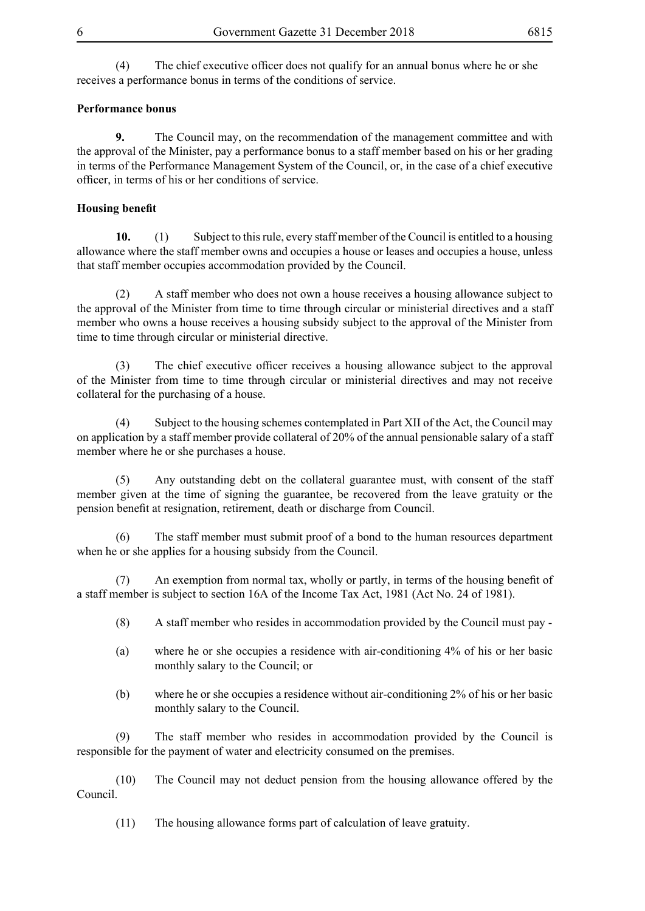(4) The chief executive officer does not qualify for an annual bonus where he or she receives a performance bonus in terms of the conditions of service.

# **Performance bonus**

**9.** The Council may, on the recommendation of the management committee and with the approval of the Minister, pay a performance bonus to a staff member based on his or her grading in terms of the Performance Management System of the Council, or, in the case of a chief executive officer, in terms of his or her conditions of service.

# **Housing benefit**

**10.** (1) Subject to this rule, every staff member of the Council is entitled to a housing allowance where the staff member owns and occupies a house or leases and occupies a house, unless that staff member occupies accommodation provided by the Council.

(2) A staff member who does not own a house receives a housing allowance subject to the approval of the Minister from time to time through circular or ministerial directives and a staff member who owns a house receives a housing subsidy subject to the approval of the Minister from time to time through circular or ministerial directive.

(3) The chief executive officer receives a housing allowance subject to the approval of the Minister from time to time through circular or ministerial directives and may not receive collateral for the purchasing of a house.

(4) Subject to the housing schemes contemplated in Part XII of the Act, the Council may on application by a staff member provide collateral of 20% of the annual pensionable salary of a staff member where he or she purchases a house.

(5) Any outstanding debt on the collateral guarantee must, with consent of the staff member given at the time of signing the guarantee, be recovered from the leave gratuity or the pension benefit at resignation, retirement, death or discharge from Council.

(6) The staff member must submit proof of a bond to the human resources department when he or she applies for a housing subsidy from the Council.

 (7) An exemption from normal tax, wholly or partly, in terms of the housing benefit of a staff member is subject to section 16A of the Income Tax Act, 1981 (Act No. 24 of 1981).

- (8) A staff member who resides in accommodation provided by the Council must pay -
- (a) where he or she occupies a residence with air-conditioning 4% of his or her basic monthly salary to the Council; or
- (b) where he or she occupies a residence without air-conditioning 2% of his or her basic monthly salary to the Council.

(9) The staff member who resides in accommodation provided by the Council is responsible for the payment of water and electricity consumed on the premises.

(10) The Council may not deduct pension from the housing allowance offered by the Council.

(11) The housing allowance forms part of calculation of leave gratuity.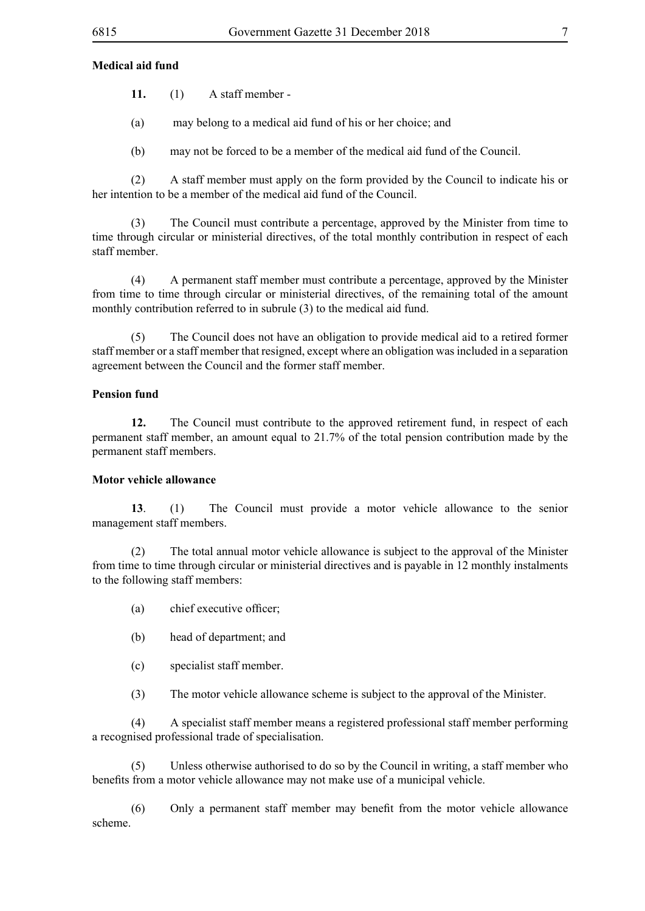# **Medical aid fund**

- **11.** (1) A staff member -
- (a) may belong to a medical aid fund of his or her choice; and
- (b) may not be forced to be a member of the medical aid fund of the Council.

(2) A staff member must apply on the form provided by the Council to indicate his or her intention to be a member of the medical aid fund of the Council.

(3) The Council must contribute a percentage, approved by the Minister from time to time through circular or ministerial directives, of the total monthly contribution in respect of each staff member.

(4) A permanent staff member must contribute a percentage, approved by the Minister from time to time through circular or ministerial directives, of the remaining total of the amount monthly contribution referred to in subrule (3) to the medical aid fund.

(5) The Council does not have an obligation to provide medical aid to a retired former staff member or a staff member that resigned, except where an obligation was included in a separation agreement between the Council and the former staff member.

#### **Pension fund**

**12.** The Council must contribute to the approved retirement fund, in respect of each permanent staff member, an amount equal to 21.7% of the total pension contribution made by the permanent staff members.

#### **Motor vehicle allowance**

**13**. (1) The Council must provide a motor vehicle allowance to the senior management staff members.

(2) The total annual motor vehicle allowance is subject to the approval of the Minister from time to time through circular or ministerial directives and is payable in 12 monthly instalments to the following staff members:

- (a) chief executive officer;
- (b) head of department; and
- (c) specialist staff member.
- (3) The motor vehicle allowance scheme is subject to the approval of the Minister.

(4) A specialist staff member means a registered professional staff member performing a recognised professional trade of specialisation.

(5) Unless otherwise authorised to do so by the Council in writing, a staff member who benefits from a motor vehicle allowance may not make use of a municipal vehicle.

 (6) Only a permanent staff member may benefit from the motor vehicle allowance scheme.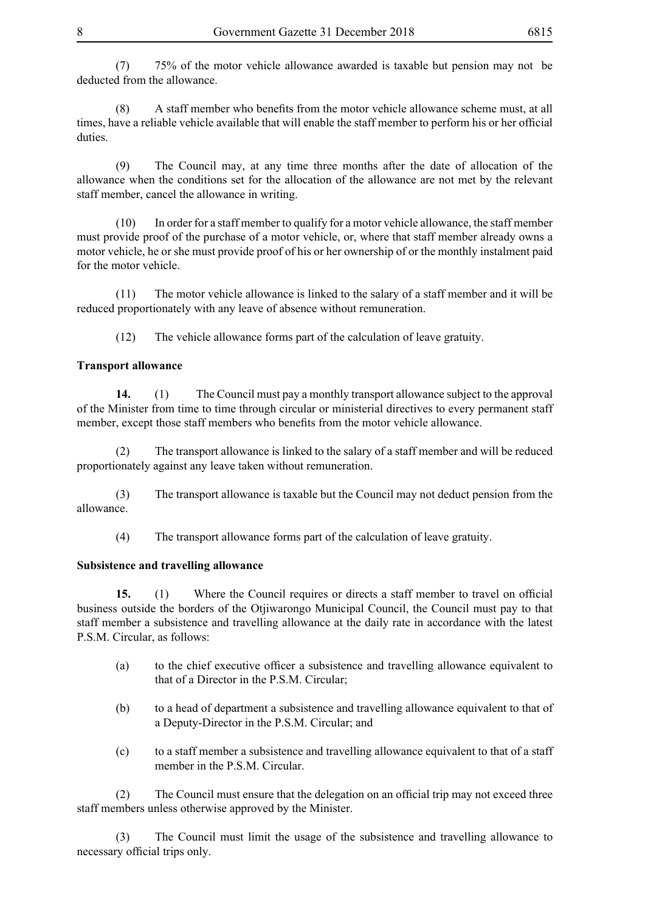(7) 75% of the motor vehicle allowance awarded is taxable but pension may not be deducted from the allowance.

 (8) A staff member who benefits from the motor vehicle allowance scheme must, at all times, have a reliable vehicle available that will enable the staff member to perform his or her official duties.

(9) The Council may, at any time three months after the date of allocation of the allowance when the conditions set for the allocation of the allowance are not met by the relevant staff member, cancel the allowance in writing.

(10) In order for a staff member to qualify for a motor vehicle allowance, the staff member must provide proof of the purchase of a motor vehicle, or, where that staff member already owns a motor vehicle, he or she must provide proof of his or her ownership of or the monthly instalment paid for the motor vehicle.

(11) The motor vehicle allowance is linked to the salary of a staff member and it will be reduced proportionately with any leave of absence without remuneration.

(12) The vehicle allowance forms part of the calculation of leave gratuity.

# **Transport allowance**

**14.** (1) The Council must pay a monthly transport allowance subject to the approval of the Minister from time to time through circular or ministerial directives to every permanent staff member, except those staff members who benefits from the motor vehicle allowance.

(2) The transport allowance is linked to the salary of a staff member and will be reduced proportionately against any leave taken without remuneration.

(3) The transport allowance is taxable but the Council may not deduct pension from the allowance.

(4) The transport allowance forms part of the calculation of leave gratuity.

# **Subsistence and travelling allowance**

**15.** (1) Where the Council requires or directs a staff member to travel on official business outside the borders of the Otjiwarongo Municipal Council, the Council must pay to that staff member a subsistence and travelling allowance at the daily rate in accordance with the latest P.S.M. Circular, as follows:

- (a) to the chief executive officer a subsistence and travelling allowance equivalent to that of a Director in the P.S.M. Circular;
- (b) to a head of department a subsistence and travelling allowance equivalent to that of a Deputy-Director in the P.S.M. Circular; and
- (c) to a staff member a subsistence and travelling allowance equivalent to that of a staff member in the P.S.M. Circular.

(2) The Council must ensure that the delegation on an official trip may not exceed three staff members unless otherwise approved by the Minister.

(3) The Council must limit the usage of the subsistence and travelling allowance to necessary official trips only.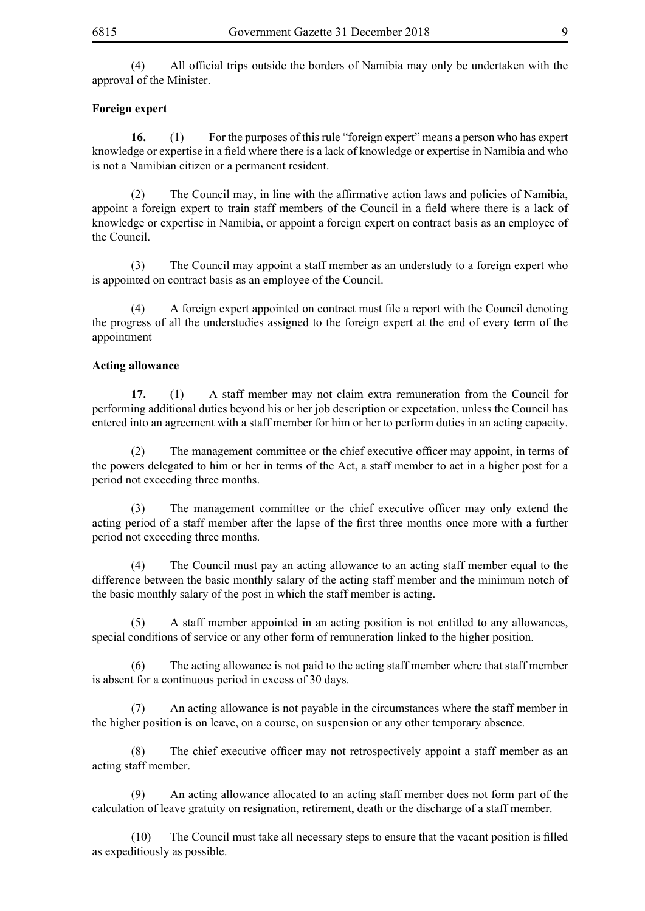(4) All official trips outside the borders of Namibia may only be undertaken with the approval of the Minister.

# **Foreign expert**

**16.** (1) For the purposes of this rule "foreign expert" means a person who has expert knowledge or expertise in a field where there is a lack of knowledge or expertise in Namibia and who is not a Namibian citizen or a permanent resident.

 (2) The Council may, in line with the affirmative action laws and policies of Namibia, appoint a foreign expert to train staff members of the Council in a field where there is a lack of knowledge or expertise in Namibia, or appoint a foreign expert on contract basis as an employee of the Council.

(3) The Council may appoint a staff member as an understudy to a foreign expert who is appointed on contract basis as an employee of the Council.

 (4) A foreign expert appointed on contract must file a report with the Council denoting the progress of all the understudies assigned to the foreign expert at the end of every term of the appointment

# **Acting allowance**

**17.** (1) A staff member may not claim extra remuneration from the Council for performing additional duties beyond his or her job description or expectation, unless the Council has entered into an agreement with a staff member for him or her to perform duties in an acting capacity.

 (2) The management committee or the chief executive officer may appoint, in terms of the powers delegated to him or her in terms of the Act, a staff member to act in a higher post for a period not exceeding three months.

 (3) The management committee or the chief executive officer may only extend the acting period of a staff member after the lapse of the first three months once more with a further period not exceeding three months.

(4) The Council must pay an acting allowance to an acting staff member equal to the difference between the basic monthly salary of the acting staff member and the minimum notch of the basic monthly salary of the post in which the staff member is acting.

(5) A staff member appointed in an acting position is not entitled to any allowances, special conditions of service or any other form of remuneration linked to the higher position.

(6) The acting allowance is not paid to the acting staff member where that staff member is absent for a continuous period in excess of 30 days.

(7) An acting allowance is not payable in the circumstances where the staff member in the higher position is on leave, on a course, on suspension or any other temporary absence.

 (8) The chief executive officer may not retrospectively appoint a staff member as an acting staff member.

(9) An acting allowance allocated to an acting staff member does not form part of the calculation of leave gratuity on resignation, retirement, death or the discharge of a staff member.

 (10) The Council must take all necessary steps to ensure that the vacant position is filled as expeditiously as possible.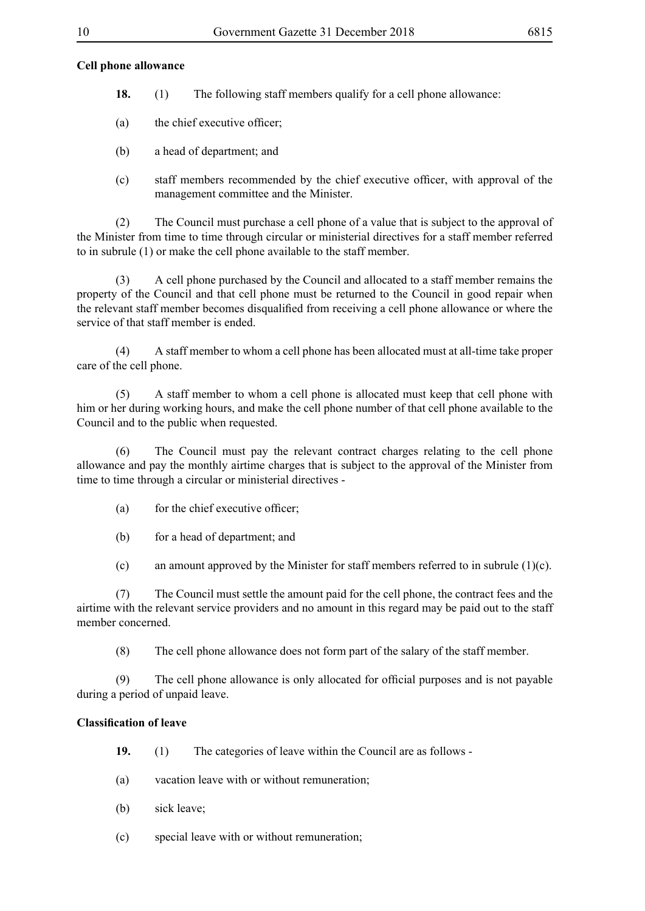## **Cell phone allowance**

- **18.** (1) The following staff members qualify for a cell phone allowance:
- (a) the chief executive officer;
- (b) a head of department; and
- (c) staff members recommended by the chief executive officer, with approval of the management committee and the Minister.

(2) The Council must purchase a cell phone of a value that is subject to the approval of the Minister from time to time through circular or ministerial directives for a staff member referred to in subrule (1) or make the cell phone available to the staff member.

(3) A cell phone purchased by the Council and allocated to a staff member remains the property of the Council and that cell phone must be returned to the Council in good repair when the relevant staff member becomes disqualified from receiving a cell phone allowance or where the service of that staff member is ended.

(4) A staff member to whom a cell phone has been allocated must at all-time take proper care of the cell phone.

(5) A staff member to whom a cell phone is allocated must keep that cell phone with him or her during working hours, and make the cell phone number of that cell phone available to the Council and to the public when requested.

(6) The Council must pay the relevant contract charges relating to the cell phone allowance and pay the monthly airtime charges that is subject to the approval of the Minister from time to time through a circular or ministerial directives -

- (a) for the chief executive officer;
- (b) for a head of department; and

(c) an amount approved by the Minister for staff members referred to in subrule (1)(c).

(7) The Council must settle the amount paid for the cell phone, the contract fees and the airtime with the relevant service providers and no amount in this regard may be paid out to the staff member concerned.

(8) The cell phone allowance does not form part of the salary of the staff member.

 (9) The cell phone allowance is only allocated for official purposes and is not payable during a period of unpaid leave.

## **Classification of leave**

- **19.** (1) The categories of leave within the Council are as follows -
- (a) vacation leave with or without remuneration;
- (b) sick leave;
- (c) special leave with or without remuneration;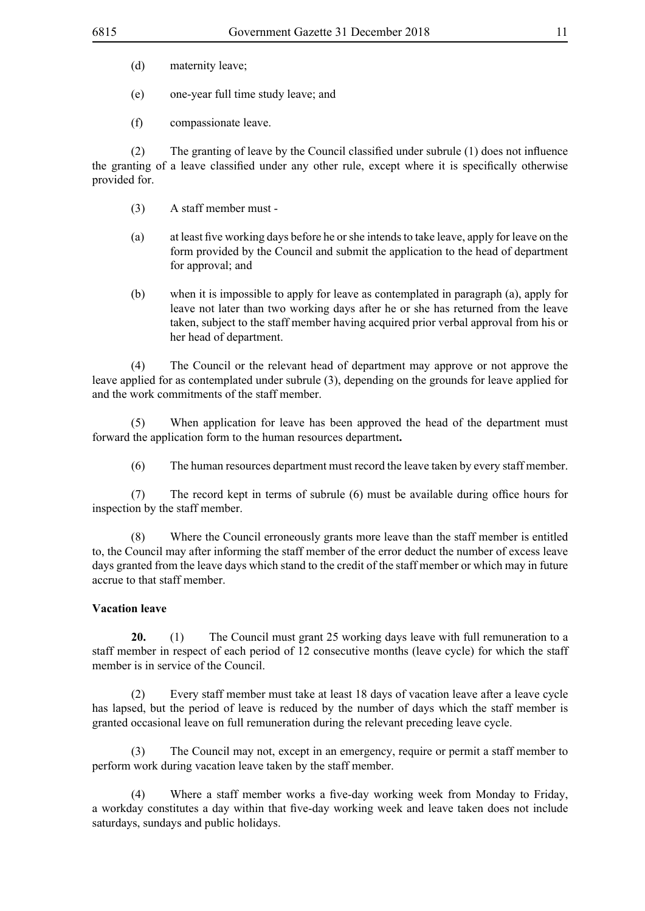- (d) maternity leave;
- (e) one-year full time study leave; and
- (f) compassionate leave.

(2) The granting of leave by the Council classified under subrule  $(1)$  does not influence the granting of a leave classified under any other rule, except where it is specifically otherwise provided for.

- (3) A staff member must -
- (a) at least five working days before he orshe intendsto take leave, apply for leave on the form provided by the Council and submit the application to the head of department for approval; and
- (b) when it is impossible to apply for leave as contemplated in paragraph (a), apply for leave not later than two working days after he or she has returned from the leave taken, subject to the staff member having acquired prior verbal approval from his or her head of department.

(4) The Council or the relevant head of department may approve or not approve the leave applied for as contemplated under subrule (3), depending on the grounds for leave applied for and the work commitments of the staff member.

(5) When application for leave has been approved the head of the department must forward the application form to the human resources department**.**

(6) The human resources department must record the leave taken by every staff member.

 (7) The record kept in terms of subrule (6) must be available during office hours for inspection by the staff member.

(8) Where the Council erroneously grants more leave than the staff member is entitled to, the Council may after informing the staff member of the error deduct the number of excess leave days granted from the leave days which stand to the credit of the staff member or which may in future accrue to that staff member.

#### **Vacation leave**

**20.** (1) The Council must grant 25 working days leave with full remuneration to a staff member in respect of each period of 12 consecutive months (leave cycle) for which the staff member is in service of the Council.

(2) Every staff member must take at least 18 days of vacation leave after a leave cycle has lapsed, but the period of leave is reduced by the number of days which the staff member is granted occasional leave on full remuneration during the relevant preceding leave cycle.

(3) The Council may not, except in an emergency, require or permit a staff member to perform work during vacation leave taken by the staff member.

 (4) Where a staff member works a five-day working week from Monday to Friday, a workday constitutes a day within that five-day working week and leave taken does not include saturdays, sundays and public holidays.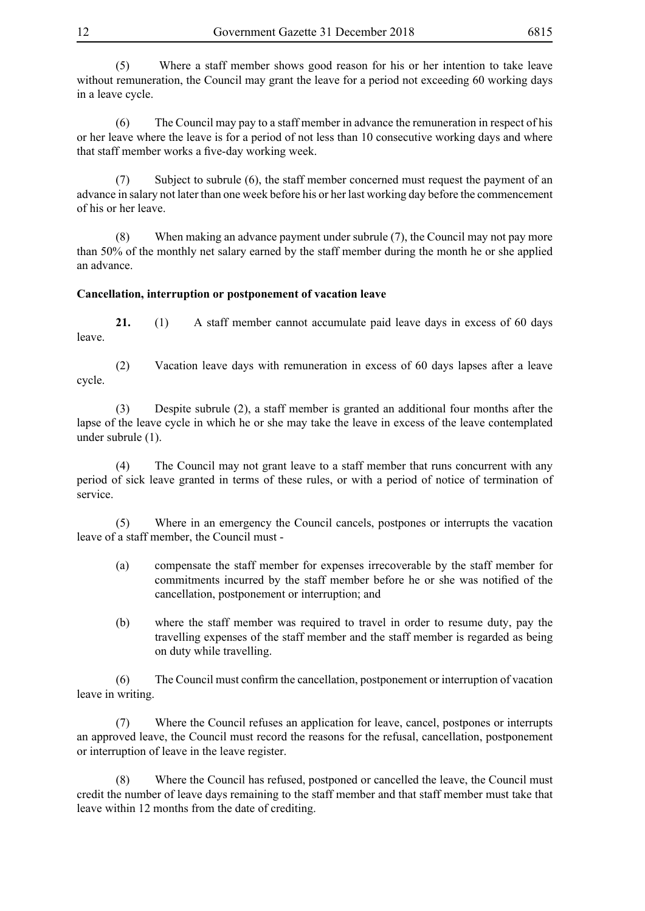(5) Where a staff member shows good reason for his or her intention to take leave without remuneration, the Council may grant the leave for a period not exceeding 60 working days in a leave cycle.

(6) The Council may pay to a staff member in advance the remuneration in respect of his or her leave where the leave is for a period of not less than 10 consecutive working days and where that staff member works a five-day working week.

(7) Subject to subrule (6), the staff member concerned must request the payment of an advance in salary not later than one week before his or her last working day before the commencement of his or her leave.

(8) When making an advance payment under subrule (7), the Council may not pay more than 50% of the monthly net salary earned by the staff member during the month he or she applied an advance.

# **Cancellation, interruption or postponement of vacation leave**

**21.** (1) A staff member cannot accumulate paid leave days in excess of 60 days leave.

(2) Vacation leave days with remuneration in excess of 60 days lapses after a leave cycle.

(3) Despite subrule (2), a staff member is granted an additional four months after the lapse of the leave cycle in which he or she may take the leave in excess of the leave contemplated under subrule (1).

(4) The Council may not grant leave to a staff member that runs concurrent with any period of sick leave granted in terms of these rules, or with a period of notice of termination of service.

(5) Where in an emergency the Council cancels, postpones or interrupts the vacation leave of a staff member, the Council must -

- (a) compensate the staff member for expenses irrecoverable by the staff member for commitments incurred by the staff member before he or she was notified of the cancellation, postponement or interruption; and
- (b) where the staff member was required to travel in order to resume duty, pay the travelling expenses of the staff member and the staff member is regarded as being on duty while travelling.

 (6) The Council must confirm the cancellation, postponement or interruption of vacation leave in writing.

(7) Where the Council refuses an application for leave, cancel, postpones or interrupts an approved leave, the Council must record the reasons for the refusal, cancellation, postponement or interruption of leave in the leave register.

(8) Where the Council has refused, postponed or cancelled the leave, the Council must credit the number of leave days remaining to the staff member and that staff member must take that leave within 12 months from the date of crediting.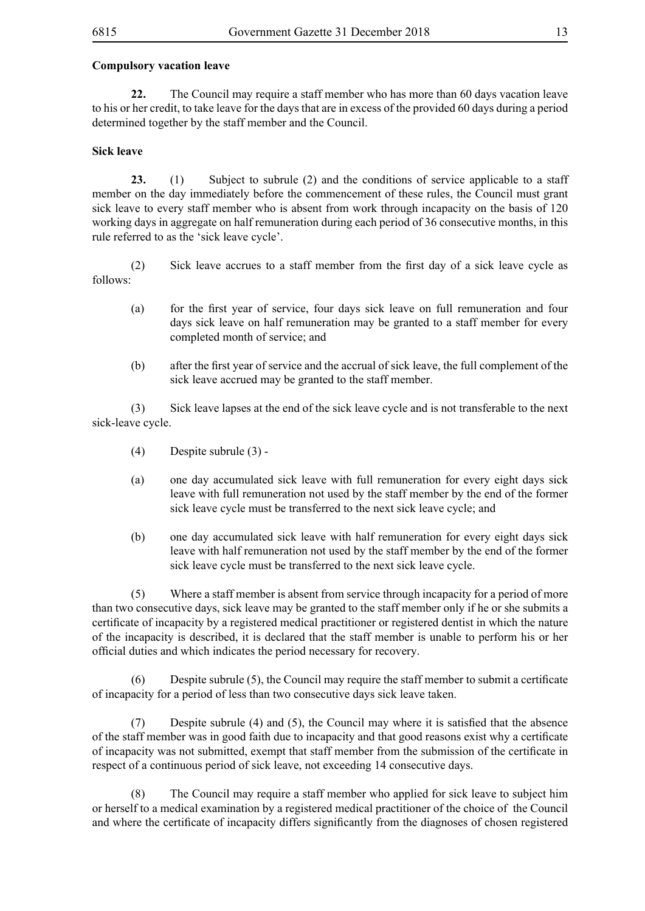#### **Compulsory vacation leave**

**22.** The Council may require a staff member who has more than 60 days vacation leave to his or her credit, to take leave for the days that are in excess of the provided 60 days during a period determined together by the staff member and the Council.

#### **Sick leave**

**23.** (1) Subject to subrule (2) and the conditions of service applicable to a staff member on the day immediately before the commencement of these rules, the Council must grant sick leave to every staff member who is absent from work through incapacity on the basis of 120 working days in aggregate on half remuneration during each period of 36 consecutive months, in this rule referred to as the 'sick leave cycle'.

 (2) Sick leave accrues to a staff member from the first day of a sick leave cycle as follows:

- (a) for the first year of service, four days sick leave on full remuneration and four days sick leave on half remuneration may be granted to a staff member for every completed month of service; and
- (b) after the first year of service and the accrual of sick leave, the full complement of the sick leave accrued may be granted to the staff member.

(3) Sick leave lapses at the end of the sick leave cycle and is not transferable to the next sick-leave cycle.

- (4) Despite subrule (3) -
- (a) one day accumulated sick leave with full remuneration for every eight days sick leave with full remuneration not used by the staff member by the end of the former sick leave cycle must be transferred to the next sick leave cycle; and
- (b) one day accumulated sick leave with half remuneration for every eight days sick leave with half remuneration not used by the staff member by the end of the former sick leave cycle must be transferred to the next sick leave cycle.

(5) Where a staff member is absent from service through incapacity for a period of more than two consecutive days, sick leave may be granted to the staff member only if he or she submits a certificate of incapacity by a registered medical practitioner or registered dentist in which the nature of the incapacity is described, it is declared that the staff member is unable to perform his or her official duties and which indicates the period necessary for recovery.

 $(6)$  Despite subrule  $(5)$ , the Council may require the staff member to submit a certificate of incapacity for a period of less than two consecutive days sick leave taken.

 (7) Despite subrule (4) and (5), the Council may where it is satisfied that the absence of the staff member was in good faith due to incapacity and that good reasons exist why a certificate of incapacity was not submitted, exempt that staff member from the submission of the certificate in respect of a continuous period of sick leave, not exceeding 14 consecutive days.

(8) The Council may require a staff member who applied for sick leave to subject him or herself to a medical examination by a registered medical practitioner of the choice of the Council and where the certificate of incapacity differs significantly from the diagnoses of chosen registered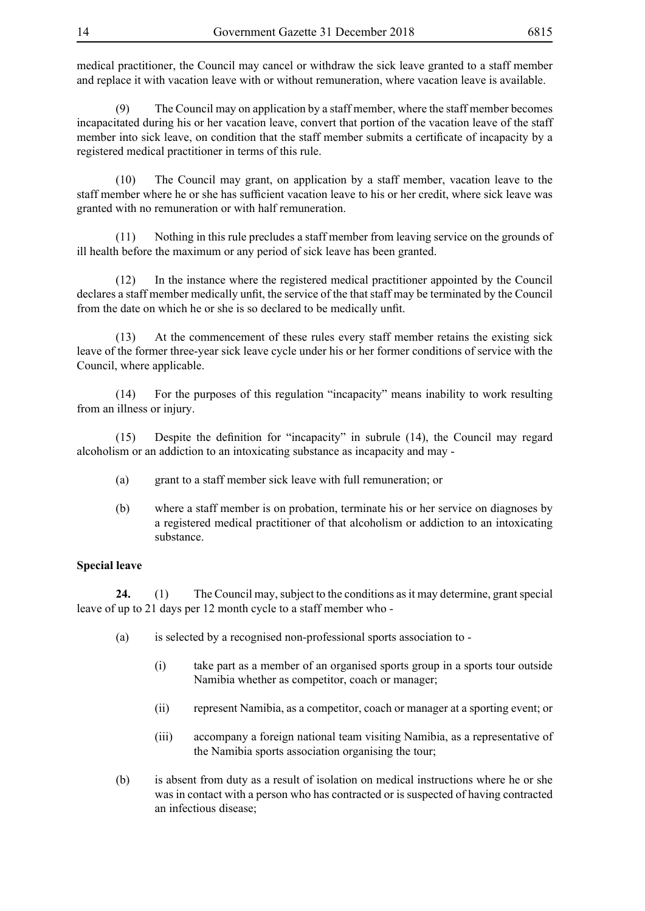medical practitioner, the Council may cancel or withdraw the sick leave granted to a staff member and replace it with vacation leave with or without remuneration, where vacation leave is available.

(9) The Council may on application by a staff member, where the staff member becomes incapacitated during his or her vacation leave, convert that portion of the vacation leave of the staff member into sick leave, on condition that the staff member submits a certificate of incapacity by a registered medical practitioner in terms of this rule.

(10) The Council may grant, on application by a staff member, vacation leave to the staff member where he or she has sufficient vacation leave to his or her credit, where sick leave was granted with no remuneration or with half remuneration.

(11) Nothing in this rule precludes a staff member from leaving service on the grounds of ill health before the maximum or any period of sick leave has been granted.

(12) In the instance where the registered medical practitioner appointed by the Council declares a staff member medically unfit, the service of the that staff may be terminated by the Council from the date on which he or she is so declared to be medically unfit.

(13) At the commencement of these rules every staff member retains the existing sick leave of the former three-year sick leave cycle under his or her former conditions of service with the Council, where applicable.

(14) For the purposes of this regulation "incapacity" means inability to work resulting from an illness or injury.

 (15) Despite the definition for "incapacity" in subrule (14), the Council may regard alcoholism or an addiction to an intoxicating substance as incapacity and may -

- (a) grant to a staff member sick leave with full remuneration; or
- (b) where a staff member is on probation, terminate his or her service on diagnoses by a registered medical practitioner of that alcoholism or addiction to an intoxicating substance.

# **Special leave**

**24.** (1) The Council may, subject to the conditions as it may determine, grant special leave of up to 21 days per 12 month cycle to a staff member who -

- (a) is selected by a recognised non-professional sports association to
	- (i) take part as a member of an organised sports group in a sports tour outside Namibia whether as competitor, coach or manager;
	- (ii) represent Namibia, as a competitor, coach or manager at a sporting event; or
	- (iii) accompany a foreign national team visiting Namibia, as a representative of the Namibia sports association organising the tour;
- (b) is absent from duty as a result of isolation on medical instructions where he or she was in contact with a person who has contracted or is suspected of having contracted an infectious disease;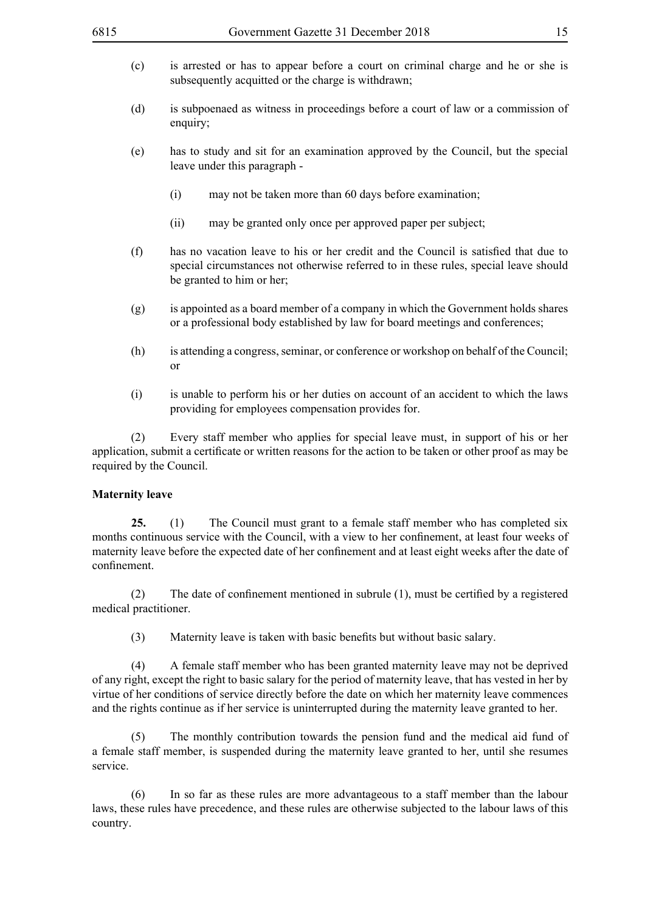- (c) is arrested or has to appear before a court on criminal charge and he or she is subsequently acquitted or the charge is withdrawn;
- (d) is subpoenaed as witness in proceedings before a court of law or a commission of enquiry;
- (e) has to study and sit for an examination approved by the Council, but the special leave under this paragraph -
	- (i) may not be taken more than 60 days before examination;
	- (ii) may be granted only once per approved paper per subject;
- (f) has no vacation leave to his or her credit and the Council is satisfied that due to special circumstances not otherwise referred to in these rules, special leave should be granted to him or her;
- (g) is appointed as a board member of a company in which the Government holds shares or a professional body established by law for board meetings and conferences;
- (h) is attending a congress, seminar, or conference or workshop on behalf of the Council; or
- (i) is unable to perform his or her duties on account of an accident to which the laws providing for employees compensation provides for.

(2) Every staff member who applies for special leave must, in support of his or her application, submit a certificate or written reasons for the action to be taken or other proof as may be required by the Council.

#### **Maternity leave**

**25.** (1) The Council must grant to a female staff member who has completed six months continuous service with the Council, with a view to her confinement, at least four weeks of maternity leave before the expected date of her confinement and at least eight weeks after the date of confinement.

(2) The date of confinement mentioned in subrule  $(1)$ , must be certified by a registered medical practitioner.

(3) Maternity leave is taken with basic benefits but without basic salary.

(4) A female staff member who has been granted maternity leave may not be deprived of any right, except the right to basic salary for the period of maternity leave, that has vested in her by virtue of her conditions of service directly before the date on which her maternity leave commences and the rights continue as if her service is uninterrupted during the maternity leave granted to her.

(5) The monthly contribution towards the pension fund and the medical aid fund of a female staff member, is suspended during the maternity leave granted to her, until she resumes service.

(6) In so far as these rules are more advantageous to a staff member than the labour laws, these rules have precedence, and these rules are otherwise subjected to the labour laws of this country.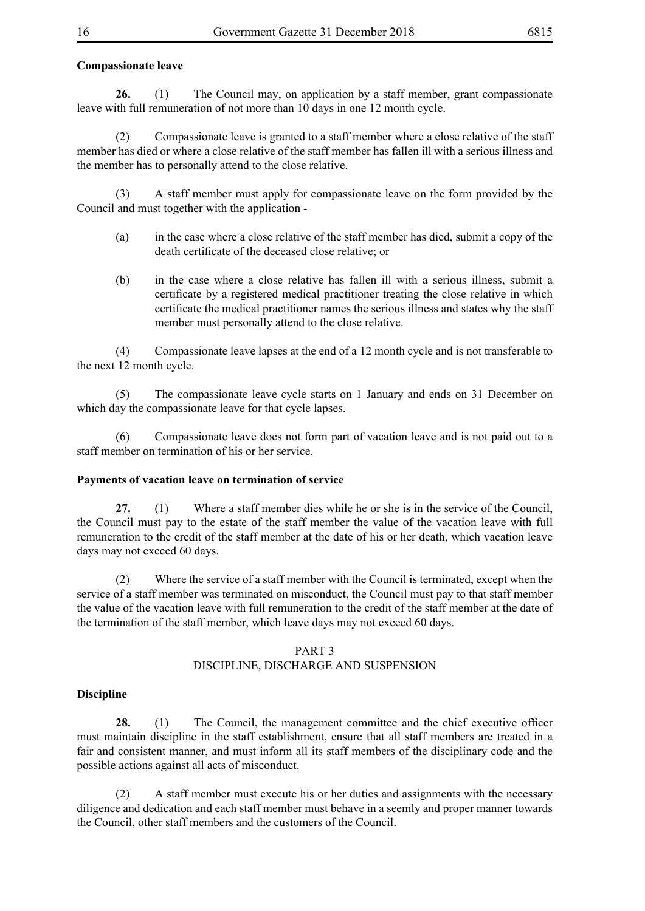# **Compassionate leave**

**26.** (1) The Council may, on application by a staff member, grant compassionate leave with full remuneration of not more than 10 days in one 12 month cycle.

(2) Compassionate leave is granted to a staff member where a close relative of the staff member has died or where a close relative of the staff member has fallen ill with a serious illness and the member has to personally attend to the close relative.

(3) A staff member must apply for compassionate leave on the form provided by the Council and must together with the application -

- (a) in the case where a close relative of the staff member has died, submit a copy of the death certificate of the deceased close relative; or
- (b) in the case where a close relative has fallen ill with a serious illness, submit a certificate by a registered medical practitioner treating the close relative in which certificate the medical practitioner names the serious illness and states why the staff member must personally attend to the close relative.

(4) Compassionate leave lapses at the end of a 12 month cycle and is not transferable to the next 12 month cycle.

(5) The compassionate leave cycle starts on 1 January and ends on 31 December on which day the compassionate leave for that cycle lapses.

(6) Compassionate leave does not form part of vacation leave and is not paid out to a staff member on termination of his or her service.

#### **Payments of vacation leave on termination of service**

**27.** (1) Where a staff member dies while he or she is in the service of the Council, the Council must pay to the estate of the staff member the value of the vacation leave with full remuneration to the credit of the staff member at the date of his or her death, which vacation leave days may not exceed 60 days.

(2) Where the service of a staff member with the Council is terminated, except when the service of a staff member was terminated on misconduct, the Council must pay to that staff member the value of the vacation leave with full remuneration to the credit of the staff member at the date of the termination of the staff member, which leave days may not exceed 60 days.

# PART 3

## DISCIPLINE, DISCHARGE AND SUSPENSION

#### **Discipline**

**28.** (1) The Council, the management committee and the chief executive officer must maintain discipline in the staff establishment, ensure that all staff members are treated in a fair and consistent manner, and must inform all its staff members of the disciplinary code and the possible actions against all acts of misconduct.

(2) A staff member must execute his or her duties and assignments with the necessary diligence and dedication and each staff member must behave in a seemly and proper manner towards the Council, other staff members and the customers of the Council.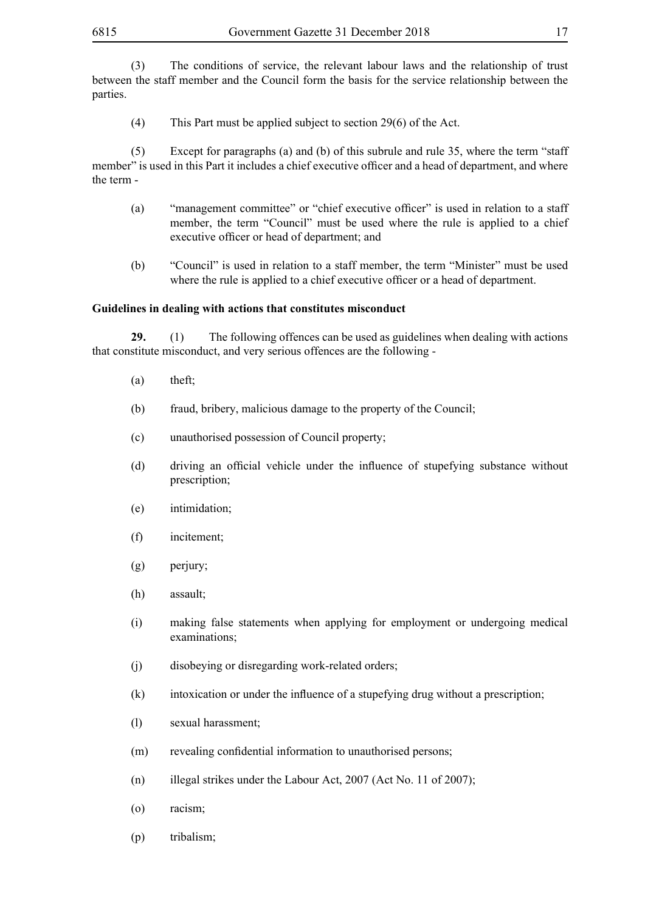(3) The conditions of service, the relevant labour laws and the relationship of trust between the staff member and the Council form the basis for the service relationship between the parties.

(4) This Part must be applied subject to section 29(6) of the Act.

(5) Except for paragraphs (a) and (b) of this subrule and rule 35, where the term "staff member" is used in this Part it includes a chief executive officer and a head of department, and where the term -

- (a) "management committee" or "chief executive officer" is used in relation to a staff member, the term "Council" must be used where the rule is applied to a chief executive officer or head of department; and
- (b) "Council" is used in relation to a staff member, the term "Minister" must be used where the rule is applied to a chief executive officer or a head of department.

#### **Guidelines in dealing with actions that constitutes misconduct**

**29.** (1) The following offences can be used as guidelines when dealing with actions that constitute misconduct, and very serious offences are the following -

- (a) theft;
- (b) fraud, bribery, malicious damage to the property of the Council;
- (c) unauthorised possession of Council property;
- (d) driving an official vehicle under the influence of stupefying substance without prescription;
- (e) intimidation;
- (f) incitement;
- (g) perjury;
- (h) assault;
- (i) making false statements when applying for employment or undergoing medical examinations;
- (j) disobeying or disregarding work-related orders;
- (k) intoxication or under the influence of a stupefying drug without a prescription;
- (l) sexual harassment;
- (m) revealing confidential information to unauthorised persons;
- (n) illegal strikes under the Labour Act, 2007 (Act No. 11 of 2007);
- (o) racism;
- (p) tribalism;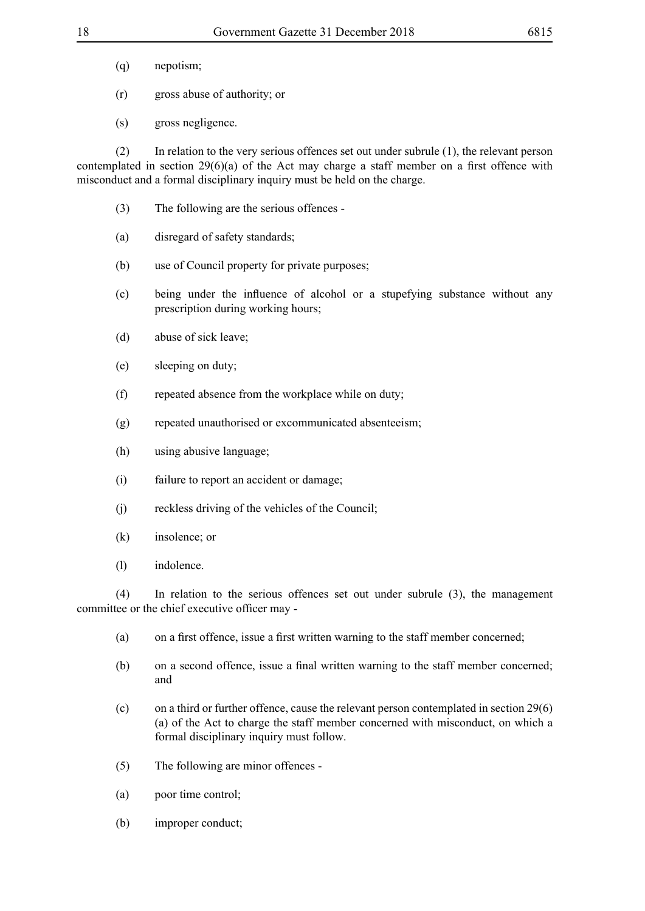- (q) nepotism;
- (r) gross abuse of authority; or
- (s) gross negligence.

(2) In relation to the very serious offences set out under subrule (1), the relevant person contemplated in section 29(6)(a) of the Act may charge a staff member on a first offence with misconduct and a formal disciplinary inquiry must be held on the charge.

- (3) The following are the serious offences -
- (a) disregard of safety standards;
- (b) use of Council property for private purposes;
- (c) being under the influence of alcohol or a stupefying substance without any prescription during working hours;
- (d) abuse of sick leave;
- (e) sleeping on duty;
- (f) repeated absence from the workplace while on duty;
- (g) repeated unauthorised or excommunicated absenteeism;
- (h) using abusive language;
- (i) failure to report an accident or damage;
- (j) reckless driving of the vehicles of the Council;
- (k) insolence; or
- (l) indolence.

(4) In relation to the serious offences set out under subrule (3), the management committee or the chief executive officer may -

- (a) on a first offence, issue a first written warning to the staff member concerned;
- (b) on a second offence, issue a final written warning to the staff member concerned; and
- (c) on a third or further offence, cause the relevant person contemplated in section 29(6) (a) of the Act to charge the staff member concerned with misconduct, on which a formal disciplinary inquiry must follow.
- (5) The following are minor offences -
- (a) poor time control;
- (b) improper conduct;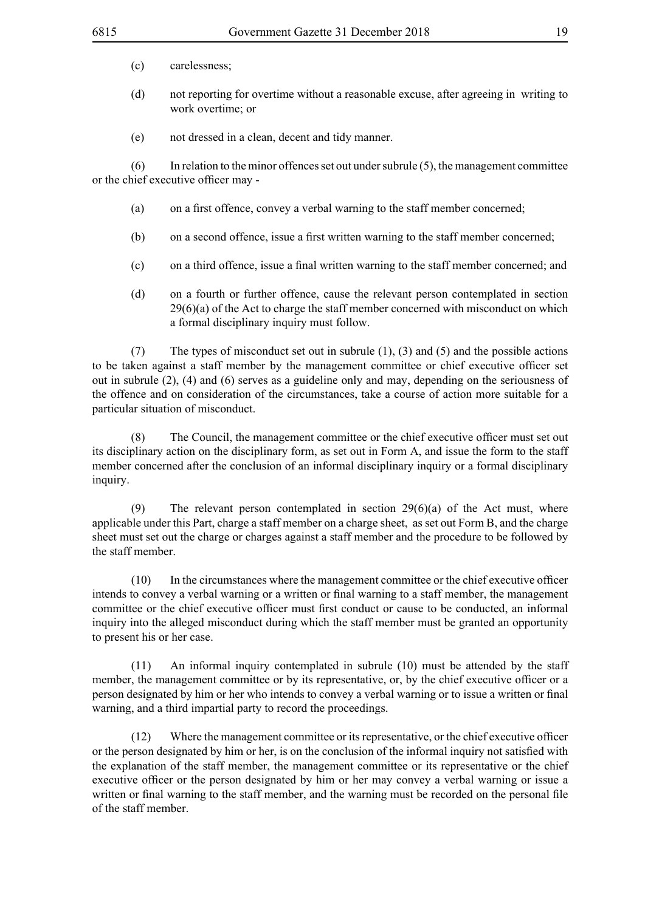- (c) carelessness;
- (d) not reporting for overtime without a reasonable excuse, after agreeing in writing to work overtime; or
- (e) not dressed in a clean, decent and tidy manner.

(6) In relation to the minor offences set out under subrule (5), the management committee or the chief executive officer may -

- (a) on a first offence, convey a verbal warning to the staff member concerned;
- (b) on a second offence, issue a first written warning to the staff member concerned;
- (c) on a third offence, issue a final written warning to the staff member concerned; and
- (d) on a fourth or further offence, cause the relevant person contemplated in section  $29(6)(a)$  of the Act to charge the staff member concerned with misconduct on which a formal disciplinary inquiry must follow.

(7) The types of misconduct set out in subrule (1), (3) and (5) and the possible actions to be taken against a staff member by the management committee or chief executive officer set out in subrule (2), (4) and (6) serves as a guideline only and may, depending on the seriousness of the offence and on consideration of the circumstances, take a course of action more suitable for a particular situation of misconduct.

(8) The Council, the management committee or the chief executive officer must set out its disciplinary action on the disciplinary form, as set out in Form A, and issue the form to the staff member concerned after the conclusion of an informal disciplinary inquiry or a formal disciplinary inquiry.

(9) The relevant person contemplated in section 29(6)(a) of the Act must, where applicable under this Part, charge a staff member on a charge sheet, as set out Form B, and the charge sheet must set out the charge or charges against a staff member and the procedure to be followed by the staff member.

 (10) In the circumstances where the management committee or the chief executive officer intends to convey a verbal warning or a written or final warning to a staff member, the management committee or the chief executive officer must first conduct or cause to be conducted, an informal inquiry into the alleged misconduct during which the staff member must be granted an opportunity to present his or her case.

(11) An informal inquiry contemplated in subrule (10) must be attended by the staff member, the management committee or by its representative, or, by the chief executive officer or a person designated by him or her who intends to convey a verbal warning or to issue a written or final warning, and a third impartial party to record the proceedings.

 (12) Where the management committee or itsrepresentative, or the chief executive officer or the person designated by him or her, is on the conclusion of the informal inquiry not satisfied with the explanation of the staff member, the management committee or its representative or the chief executive officer or the person designated by him or her may convey a verbal warning or issue a written or final warning to the staff member, and the warning must be recorded on the personal file of the staff member.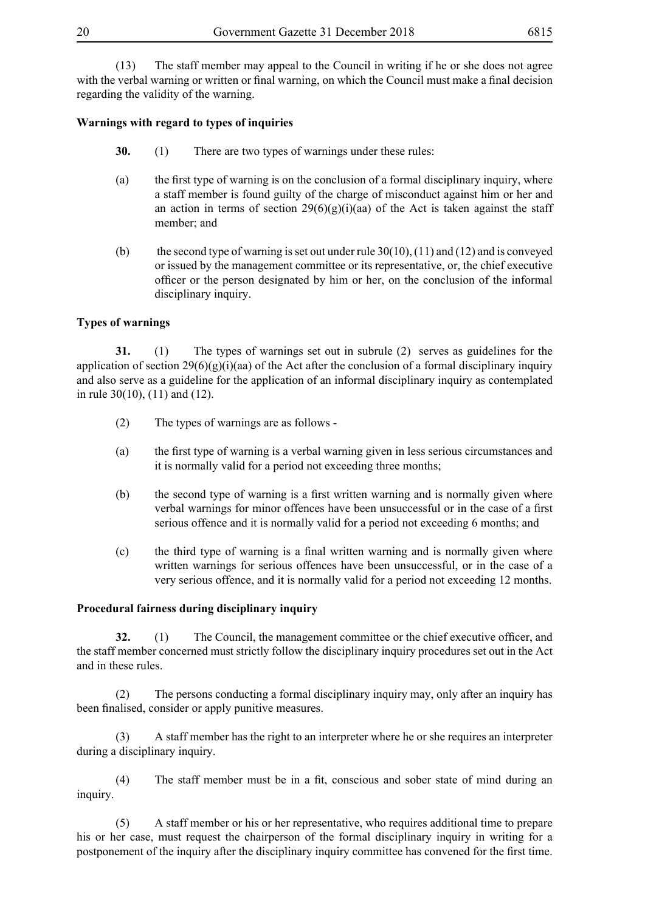(13) The staff member may appeal to the Council in writing if he or she does not agree with the verbal warning or written or final warning, on which the Council must make a final decision regarding the validity of the warning.

# **Warnings with regard to types of inquiries**

- **30.** (1) There are two types of warnings under these rules:
- (a) the first type of warning is on the conclusion of a formal disciplinary inquiry, where a staff member is found guilty of the charge of misconduct against him or her and an action in terms of section  $29(6)(g)(i)(aa)$  of the Act is taken against the staff member; and
- (b) the second type of warning is set out under rule  $30(10)$ ,  $(11)$  and  $(12)$  and is conveyed or issued by the management committee or its representative, or, the chief executive officer or the person designated by him or her, on the conclusion of the informal disciplinary inquiry.

# **Types of warnings**

**31.** (1) The types of warnings set out in subrule (2) serves as guidelines for the application of section  $29(6)(g)(i)(aa)$  of the Act after the conclusion of a formal disciplinary inquiry and also serve as a guideline for the application of an informal disciplinary inquiry as contemplated in rule 30(10), (11) and (12).

- (2) The types of warnings are as follows -
- (a) the first type of warning is a verbal warning given in less serious circumstances and it is normally valid for a period not exceeding three months;
- (b) the second type of warning is a first written warning and is normally given where verbal warnings for minor offences have been unsuccessful or in the case of a first serious offence and it is normally valid for a period not exceeding 6 months; and
- (c) the third type of warning is a final written warning and is normally given where written warnings for serious offences have been unsuccessful, or in the case of a very serious offence, and it is normally valid for a period not exceeding 12 months.

## **Procedural fairness during disciplinary inquiry**

**32.** (1) The Council, the management committee or the chief executive officer, and the staff member concerned must strictly follow the disciplinary inquiry procedures set out in the Act and in these rules.

(2) The persons conducting a formal disciplinary inquiry may, only after an inquiry has been finalised, consider or apply punitive measures.

(3) A staff member has the right to an interpreter where he or she requires an interpreter during a disciplinary inquiry.

 (4) The staff member must be in a fit, conscious and sober state of mind during an inquiry.

(5) A staff member or his or her representative, who requires additional time to prepare his or her case, must request the chairperson of the formal disciplinary inquiry in writing for a postponement of the inquiry after the disciplinary inquiry committee has convened for the first time.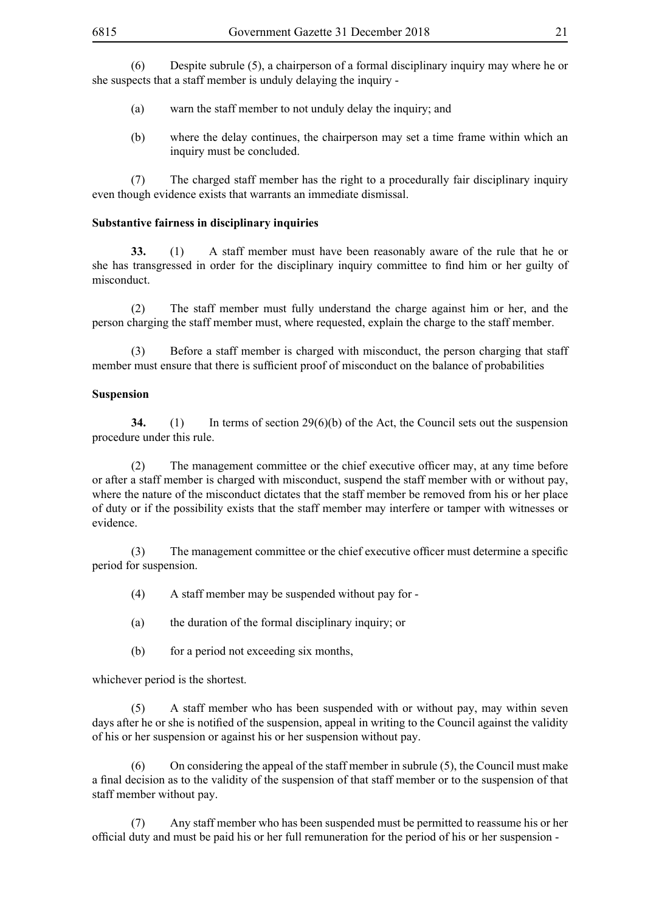(6) Despite subrule (5), a chairperson of a formal disciplinary inquiry may where he or she suspects that a staff member is unduly delaying the inquiry -

- (a) warn the staff member to not unduly delay the inquiry; and
- (b) where the delay continues, the chairperson may set a time frame within which an inquiry must be concluded.

(7) The charged staff member has the right to a procedurally fair disciplinary inquiry even though evidence exists that warrants an immediate dismissal.

## **Substantive fairness in disciplinary inquiries**

**33.** (1) A staff member must have been reasonably aware of the rule that he or she has transgressed in order for the disciplinary inquiry committee to find him or her guilty of misconduct.

(2) The staff member must fully understand the charge against him or her, and the person charging the staff member must, where requested, explain the charge to the staff member.

(3) Before a staff member is charged with misconduct, the person charging that staff member must ensure that there is sufficient proof of misconduct on the balance of probabilities

#### **Suspension**

**34.** (1) In terms of section 29(6)(b) of the Act, the Council sets out the suspension procedure under this rule.

 (2) The management committee or the chief executive officer may, at any time before or after a staff member is charged with misconduct, suspend the staff member with or without pay, where the nature of the misconduct dictates that the staff member be removed from his or her place of duty or if the possibility exists that the staff member may interfere or tamper with witnesses or evidence.

 (3) The management committee or the chief executive officer must determine a specific period for suspension.

- (4) A staff member may be suspended without pay for -
- (a) the duration of the formal disciplinary inquiry; or
- (b) for a period not exceeding six months,

whichever period is the shortest.

(5) A staff member who has been suspended with or without pay, may within seven days after he or she is notified of the suspension, appeal in writing to the Council against the validity of his or her suspension or against his or her suspension without pay.

(6) On considering the appeal of the staff member in subrule (5), the Council must make a final decision as to the validity of the suspension of that staff member or to the suspension of that staff member without pay.

(7) Any staff member who has been suspended must be permitted to reassume his or her official duty and must be paid his or her full remuneration for the period of his or her suspension -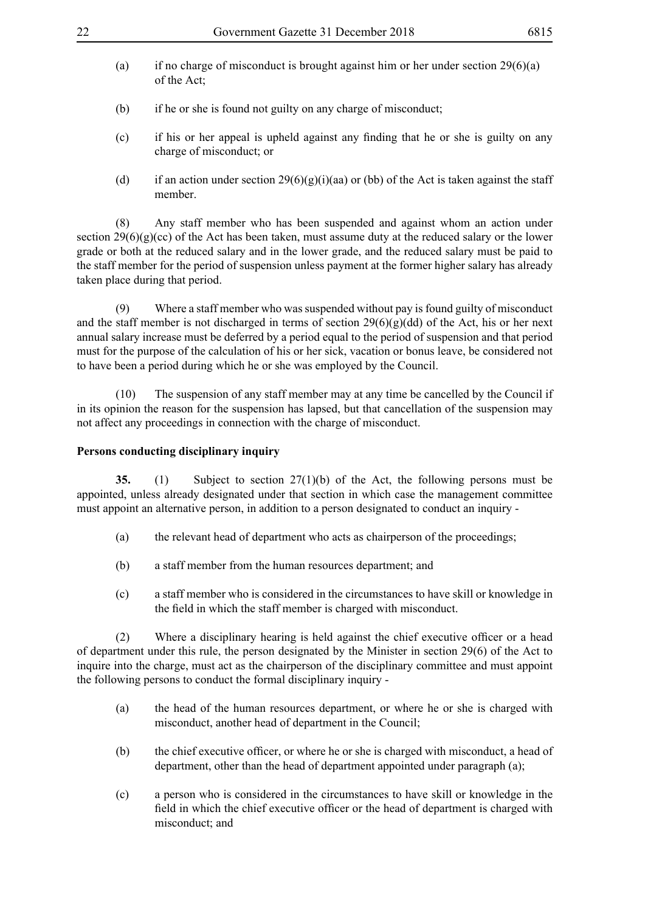- (a) if no charge of misconduct is brought against him or her under section  $29(6)(a)$ of the Act;
- (b) if he or she is found not guilty on any charge of misconduct;
- (c) if his or her appeal is upheld against any finding that he or she is guilty on any charge of misconduct; or
- (d) if an action under section  $29(6)(g)(i)(aa)$  or (bb) of the Act is taken against the staff member.

(8) Any staff member who has been suspended and against whom an action under section  $29(6)(g)(ce)$  of the Act has been taken, must assume duty at the reduced salary or the lower grade or both at the reduced salary and in the lower grade, and the reduced salary must be paid to the staff member for the period of suspension unless payment at the former higher salary has already taken place during that period.

(9) Where a staff member who was suspended without pay is found guilty of misconduct and the staff member is not discharged in terms of section  $29(6)(g)(dd)$  of the Act, his or her next annual salary increase must be deferred by a period equal to the period of suspension and that period must for the purpose of the calculation of his or her sick, vacation or bonus leave, be considered not to have been a period during which he or she was employed by the Council.

(10) The suspension of any staff member may at any time be cancelled by the Council if in its opinion the reason for the suspension has lapsed, but that cancellation of the suspension may not affect any proceedings in connection with the charge of misconduct.

# **Persons conducting disciplinary inquiry**

**35.** (1) Subject to section 27(1)(b) of the Act, the following persons must be appointed, unless already designated under that section in which case the management committee must appoint an alternative person, in addition to a person designated to conduct an inquiry -

- (a) the relevant head of department who acts as chairperson of the proceedings;
- (b) a staff member from the human resources department; and
- (c) a staff member who is considered in the circumstances to have skill or knowledge in the field in which the staff member is charged with misconduct.

 (2) Where a disciplinary hearing is held against the chief executive officer or a head of department under this rule, the person designated by the Minister in section 29(6) of the Act to inquire into the charge, must act as the chairperson of the disciplinary committee and must appoint the following persons to conduct the formal disciplinary inquiry -

- (a) the head of the human resources department, or where he or she is charged with misconduct, another head of department in the Council;
- (b) the chief executive officer, or where he or she is charged with misconduct, a head of department, other than the head of department appointed under paragraph (a);
- (c) a person who is considered in the circumstances to have skill or knowledge in the field in which the chief executive officer or the head of department is charged with misconduct; and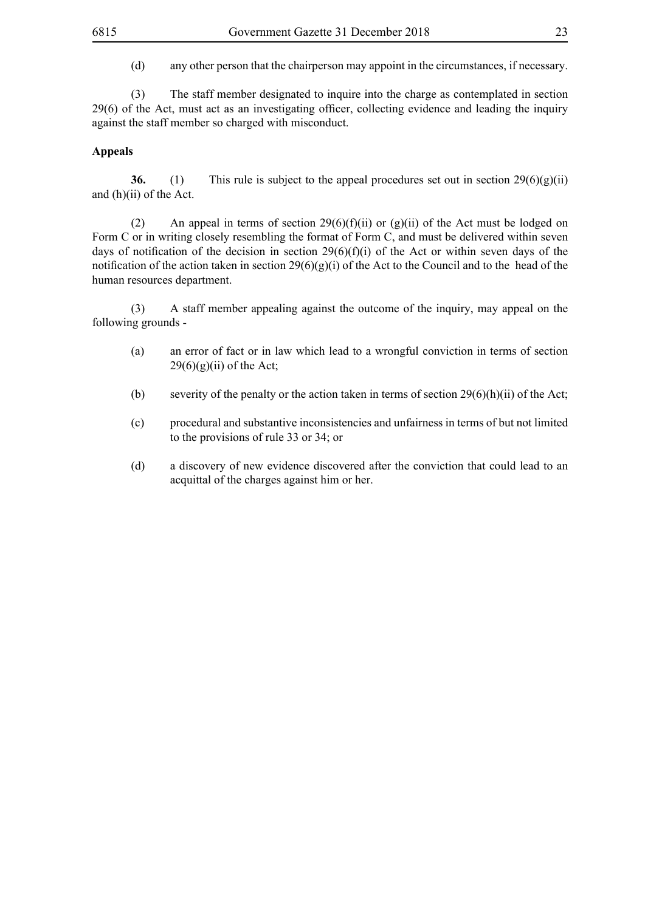(3) The staff member designated to inquire into the charge as contemplated in section 29(6) of the Act, must act as an investigating officer, collecting evidence and leading the inquiry against the staff member so charged with misconduct.

## **Appeals**

**36.** (1) This rule is subject to the appeal procedures set out in section  $29(6)(g)(ii)$ and (h)(ii) of the Act.

(2) An appeal in terms of section  $29(6)(f)(ii)$  or  $(g)(ii)$  of the Act must be lodged on Form C or in writing closely resembling the format of Form C, and must be delivered within seven days of notification of the decision in section  $29(6)(f)(i)$  of the Act or within seven days of the notification of the action taken in section  $29(6)(g)(i)$  of the Act to the Council and to the head of the human resources department.

(3) A staff member appealing against the outcome of the inquiry, may appeal on the following grounds -

- (a) an error of fact or in law which lead to a wrongful conviction in terms of section  $29(6)(g)(ii)$  of the Act;
- (b) severity of the penalty or the action taken in terms of section  $29(6)(h)(ii)$  of the Act;
- (c) procedural and substantive inconsistencies and unfairness in terms of but not limited to the provisions of rule 33 or 34; or
- (d) a discovery of new evidence discovered after the conviction that could lead to an acquittal of the charges against him or her.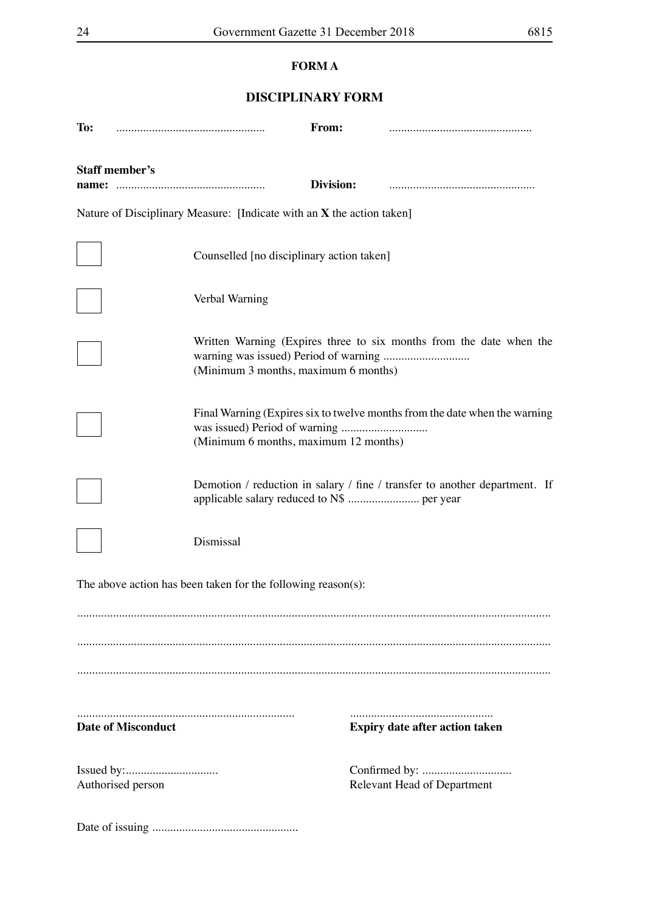# **FORM A**

# **DISCIPLINARY FORM**

| To:                       |                                                                         | From:     |                                                                            |
|---------------------------|-------------------------------------------------------------------------|-----------|----------------------------------------------------------------------------|
| Staff member's<br>name:   |                                                                         | Division: |                                                                            |
|                           | Nature of Disciplinary Measure: [Indicate with an $X$ the action taken] |           |                                                                            |
|                           | Counselled [no disciplinary action taken]                               |           |                                                                            |
|                           | Verbal Warning                                                          |           |                                                                            |
|                           | (Minimum 3 months, maximum 6 months)                                    |           | Written Warning (Expires three to six months from the date when the        |
|                           | (Minimum 6 months, maximum 12 months)                                   |           | Final Warning (Expires six to twelve months from the date when the warning |
|                           | applicable salary reduced to N\$  per year                              |           | Demotion / reduction in salary / fine / transfer to another department. If |
|                           | Dismissal                                                               |           |                                                                            |
|                           | The above action has been taken for the following reason(s):            |           |                                                                            |
|                           |                                                                         |           |                                                                            |
|                           |                                                                         |           |                                                                            |
|                           |                                                                         |           |                                                                            |
| <b>Date of Misconduct</b> |                                                                         |           | <b>Expiry date after action taken</b>                                      |
| Authorised person         |                                                                         |           | <b>Relevant Head of Department</b>                                         |
|                           |                                                                         |           |                                                                            |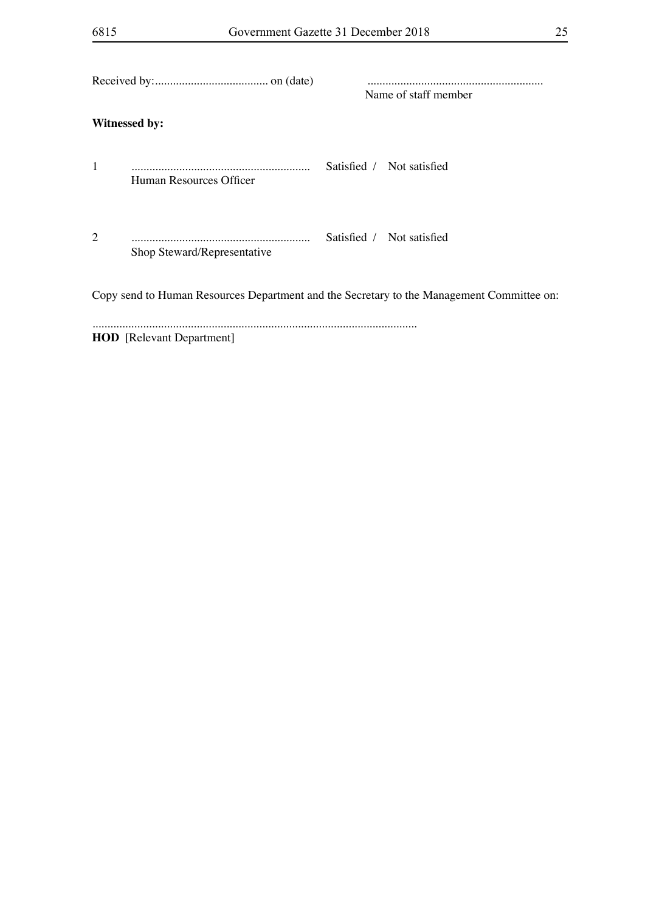|                |                                                                                           | <br>Name of staff member |                           |  |
|----------------|-------------------------------------------------------------------------------------------|--------------------------|---------------------------|--|
|                | <b>Witnessed by:</b>                                                                      |                          |                           |  |
| 1              | Human Resources Officer                                                                   |                          | Satisfied / Not satisfied |  |
| $\overline{2}$ | Shop Steward/Representative                                                               |                          | Satisfied / Not satisfied |  |
|                | Copy send to Human Resources Department and the Secretary to the Management Committee on: |                          |                           |  |

**HOD** [Relevant Department]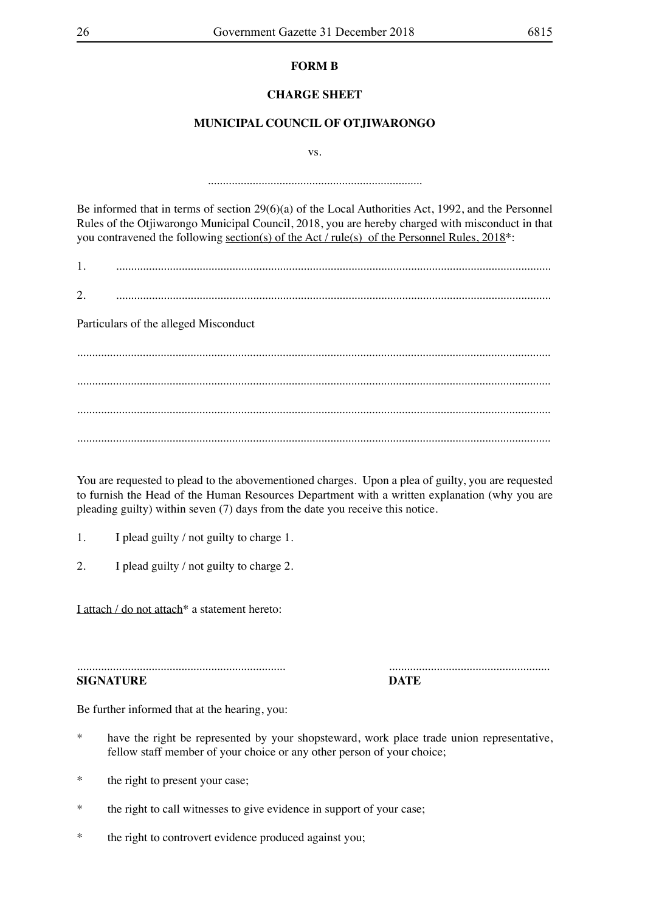# **FORM B**

# **CHARGE SHEET**

# **MUNICIPAL COUNCIL OF OTJIWARONGO**

vs.

........................................................................

Be informed that in terms of section 29(6)(a) of the Local Authorities Act, 1992, and the Personnel Rules of the Otjiwarongo Municipal Council, 2018, you are hereby charged with misconduct in that you contravened the following section(s) of the Act / rule(s) of the Personnel Rules, 2018\*:

1. ..................................................................................................................................................

 $2.$ 

Particulars of the alleged Misconduct

............................................................................................................................................................... ............................................................................................................................................................... ............................................................................................................................................................... ...............................................................................................................................................................

You are requested to plead to the abovementioned charges. Upon a plea of guilty, you are requested to furnish the Head of the Human Resources Department with a written explanation (why you are pleading guilty) within seven (7) days from the date you receive this notice.

- 1. I plead guilty / not guilty to charge 1.
- 2. I plead guilty / not guilty to charge 2.

I attach / do not attach<sup>\*</sup> a statement hereto:

...................................................................... ...................................................... **SIGNATURE DATE**

Be further informed that at the hearing, you:

- \* have the right be represented by your shopsteward, work place trade union representative, fellow staff member of your choice or any other person of your choice;
- \* the right to present your case;
- \* the right to call witnesses to give evidence in support of your case;
- \* the right to controvert evidence produced against you;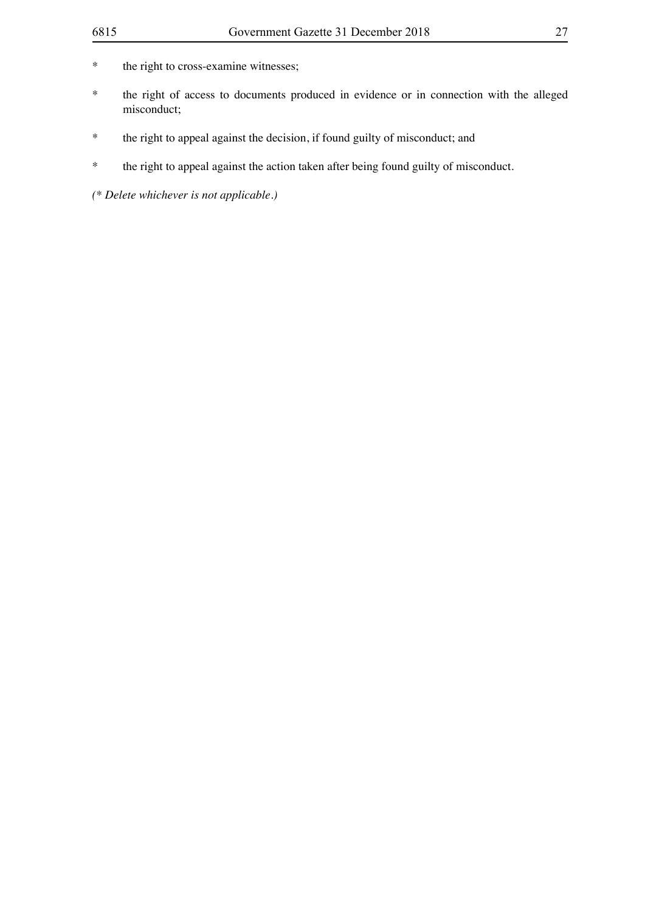- \* the right to cross-examine witnesses;
- \* the right of access to documents produced in evidence or in connection with the alleged misconduct;
- \* the right to appeal against the decision, if found guilty of misconduct; and
- \* the right to appeal against the action taken after being found guilty of misconduct.

*(\* Delete whichever is not applicable.)*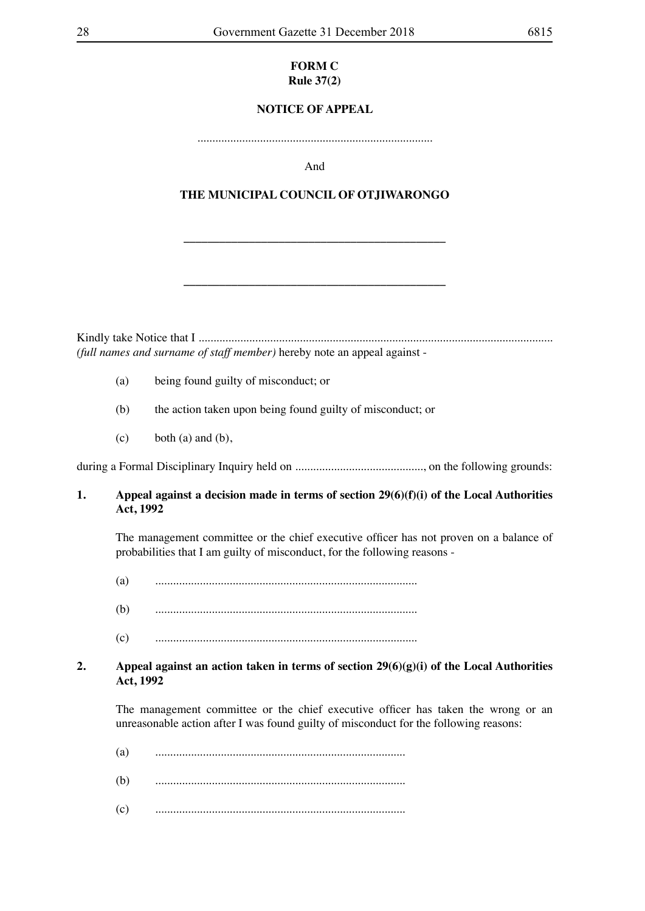#### **FORM C Rule 37(2)**

# **NOTICE OF APPEAL**

...............................................................................

And

# **THE MUNICIPAL COUNCIL OF OTJIWARONGO**

**\_\_\_\_\_\_\_\_\_\_\_\_\_\_\_\_\_\_\_\_\_\_\_\_\_\_\_\_\_\_\_\_\_\_\_\_\_\_\_\_\_\_\_\_**

**\_\_\_\_\_\_\_\_\_\_\_\_\_\_\_\_\_\_\_\_\_\_\_\_\_\_\_\_\_\_\_\_\_\_\_\_\_\_\_\_\_\_\_\_**

Kindly take Notice that I ....................................................................................................................... *(full names and surname of staff member)* hereby note an appeal against -

- (a) being found guilty of misconduct; or
- (b) the action taken upon being found guilty of misconduct; or
- $(c)$  both  $(a)$  and  $(b)$ ,

during a Formal Disciplinary Inquiry held on ..........................................., on the following grounds:

#### **1. Appeal against a decision made in terms of section 29(6)(f)(i) of the Local Authorities Act, 1992**

 The management committee or the chief executive officer has not proven on a balance of probabilities that I am guilty of misconduct, for the following reasons -

- (a) ........................................................................................
- (b) ........................................................................................
- (c) ........................................................................................

## **2. Appeal against an action taken in terms of section 29(6)(g)(i) of the Local Authorities Act, 1992**

 The management committee or the chief executive officer has taken the wrong or an unreasonable action after I was found guilty of misconduct for the following reasons:

- (a) ....................................................................................
- (b) ....................................................................................
- (c) ....................................................................................